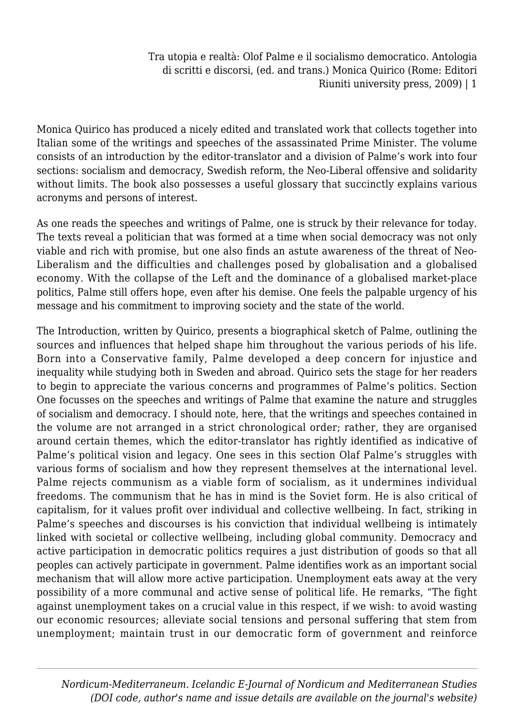Monica Quirico has produced a nicely edited and translated work that collects together into Italian some of the writings and speeches of the assassinated Prime Minister. The volume consists of an introduction by the editor-translator and a division of Palme's work into four sections: socialism and democracy, Swedish reform, the Neo-Liberal offensive and solidarity without limits. The book also possesses a useful glossary that succinctly explains various acronyms and persons of interest.

As one reads the speeches and writings of Palme, one is struck by their relevance for today. The texts reveal a politician that was formed at a time when social democracy was not only viable and rich with promise, but one also finds an astute awareness of the threat of Neo-Liberalism and the difficulties and challenges posed by globalisation and a globalised economy. With the collapse of the Left and the dominance of a globalised market-place politics, Palme still offers hope, even after his demise. One feels the palpable urgency of his message and his commitment to improving society and the state of the world.

The Introduction, written by Quirico, presents a biographical sketch of Palme, outlining the sources and influences that helped shape him throughout the various periods of his life. Born into a Conservative family, Palme developed a deep concern for injustice and inequality while studying both in Sweden and abroad. Quirico sets the stage for her readers to begin to appreciate the various concerns and programmes of Palme's politics. Section One focusses on the speeches and writings of Palme that examine the nature and struggles of socialism and democracy. I should note, here, that the writings and speeches contained in the volume are not arranged in a strict chronological order; rather, they are organised around certain themes, which the editor-translator has rightly identified as indicative of Palme's political vision and legacy. One sees in this section Olaf Palme's struggles with various forms of socialism and how they represent themselves at the international level. Palme rejects communism as a viable form of socialism, as it undermines individual freedoms. The communism that he has in mind is the Soviet form. He is also critical of capitalism, for it values profit over individual and collective wellbeing. In fact, striking in Palme's speeches and discourses is his conviction that individual wellbeing is intimately linked with societal or collective wellbeing, including global community. Democracy and active participation in democratic politics requires a just distribution of goods so that all peoples can actively participate in government. Palme identifies work as an important social mechanism that will allow more active participation. Unemployment eats away at the very possibility of a more communal and active sense of political life. He remarks, "The fight against unemployment takes on a crucial value in this respect, if we wish: to avoid wasting our economic resources; alleviate social tensions and personal suffering that stem from unemployment; maintain trust in our democratic form of government and reinforce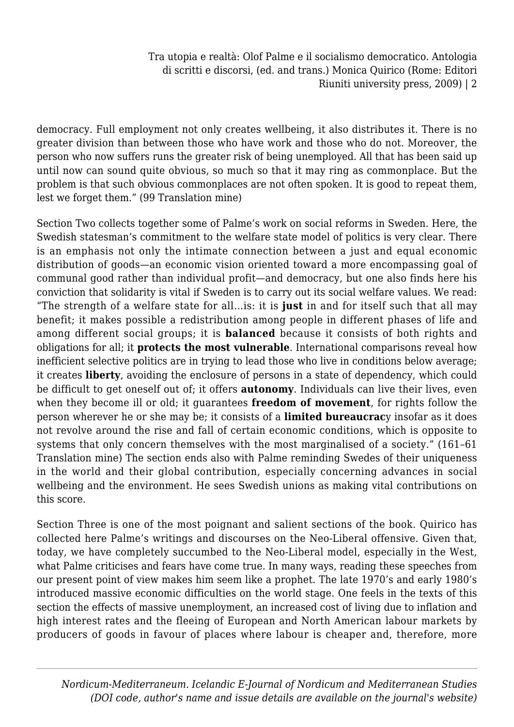democracy. Full employment not only creates wellbeing, it also distributes it. There is no greater division than between those who have work and those who do not. Moreover, the person who now suffers runs the greater risk of being unemployed. All that has been said up until now can sound quite obvious, so much so that it may ring as commonplace. But the problem is that such obvious commonplaces are not often spoken. It is good to repeat them, lest we forget them." (99 Translation mine)

Section Two collects together some of Palme's work on social reforms in Sweden. Here, the Swedish statesman's commitment to the welfare state model of politics is very clear. There is an emphasis not only the intimate connection between a just and equal economic distribution of goods—an economic vision oriented toward a more encompassing goal of communal good rather than individual profit—and democracy, but one also finds here his conviction that solidarity is vital if Sweden is to carry out its social welfare values. We read: "The strength of a welfare state for all…is: it is **just** in and for itself such that all may benefit; it makes possible a redistribution among people in different phases of life and among different social groups; it is **balanced** because it consists of both rights and obligations for all; it **protects the most vulnerable**. International comparisons reveal how inefficient selective politics are in trying to lead those who live in conditions below average; it creates **liberty**, avoiding the enclosure of persons in a state of dependency, which could be difficult to get oneself out of; it offers **autonomy**. Individuals can live their lives, even when they become ill or old; it guarantees **freedom of movement**, for rights follow the person wherever he or she may be; it consists of a **limited bureaucrac**y insofar as it does not revolve around the rise and fall of certain economic conditions, which is opposite to systems that only concern themselves with the most marginalised of a society." (161–61 Translation mine) The section ends also with Palme reminding Swedes of their uniqueness in the world and their global contribution, especially concerning advances in social wellbeing and the environment. He sees Swedish unions as making vital contributions on this score.

Section Three is one of the most poignant and salient sections of the book. Quirico has collected here Palme's writings and discourses on the Neo-Liberal offensive. Given that, today, we have completely succumbed to the Neo-Liberal model, especially in the West, what Palme criticises and fears have come true. In many ways, reading these speeches from our present point of view makes him seem like a prophet. The late 1970's and early 1980's introduced massive economic difficulties on the world stage. One feels in the texts of this section the effects of massive unemployment, an increased cost of living due to inflation and high interest rates and the fleeing of European and North American labour markets by producers of goods in favour of places where labour is cheaper and, therefore, more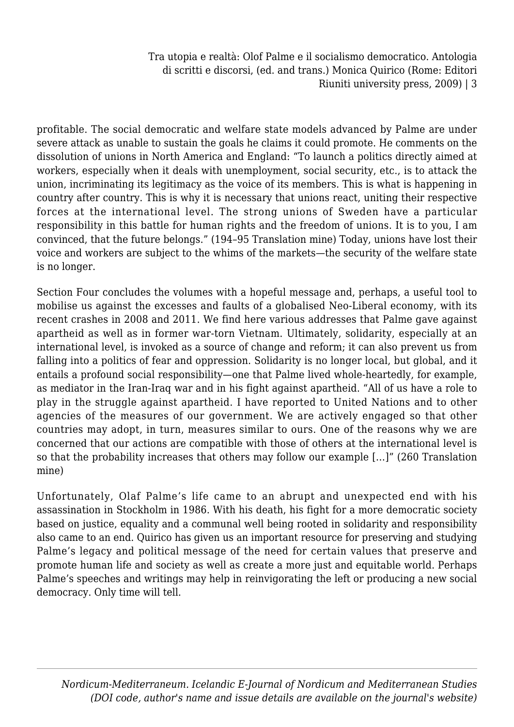profitable. The social democratic and welfare state models advanced by Palme are under severe attack as unable to sustain the goals he claims it could promote. He comments on the dissolution of unions in North America and England: "To launch a politics directly aimed at workers, especially when it deals with unemployment, social security, etc., is to attack the union, incriminating its legitimacy as the voice of its members. This is what is happening in country after country. This is why it is necessary that unions react, uniting their respective forces at the international level. The strong unions of Sweden have a particular responsibility in this battle for human rights and the freedom of unions. It is to you, I am convinced, that the future belongs." (194–95 Translation mine) Today, unions have lost their voice and workers are subject to the whims of the markets—the security of the welfare state is no longer.

Section Four concludes the volumes with a hopeful message and, perhaps, a useful tool to mobilise us against the excesses and faults of a globalised Neo-Liberal economy, with its recent crashes in 2008 and 2011. We find here various addresses that Palme gave against apartheid as well as in former war-torn Vietnam. Ultimately, solidarity, especially at an international level, is invoked as a source of change and reform; it can also prevent us from falling into a politics of fear and oppression. Solidarity is no longer local, but global, and it entails a profound social responsibility—one that Palme lived whole-heartedly, for example, as mediator in the Iran-Iraq war and in his fight against apartheid. "All of us have a role to play in the struggle against apartheid. I have reported to United Nations and to other agencies of the measures of our government. We are actively engaged so that other countries may adopt, in turn, measures similar to ours. One of the reasons why we are concerned that our actions are compatible with those of others at the international level is so that the probability increases that others may follow our example […]" (260 Translation mine)

Unfortunately, Olaf Palme's life came to an abrupt and unexpected end with his assassination in Stockholm in 1986. With his death, his fight for a more democratic society based on justice, equality and a communal well being rooted in solidarity and responsibility also came to an end. Quirico has given us an important resource for preserving and studying Palme's legacy and political message of the need for certain values that preserve and promote human life and society as well as create a more just and equitable world. Perhaps Palme's speeches and writings may help in reinvigorating the left or producing a new social democracy. Only time will tell.